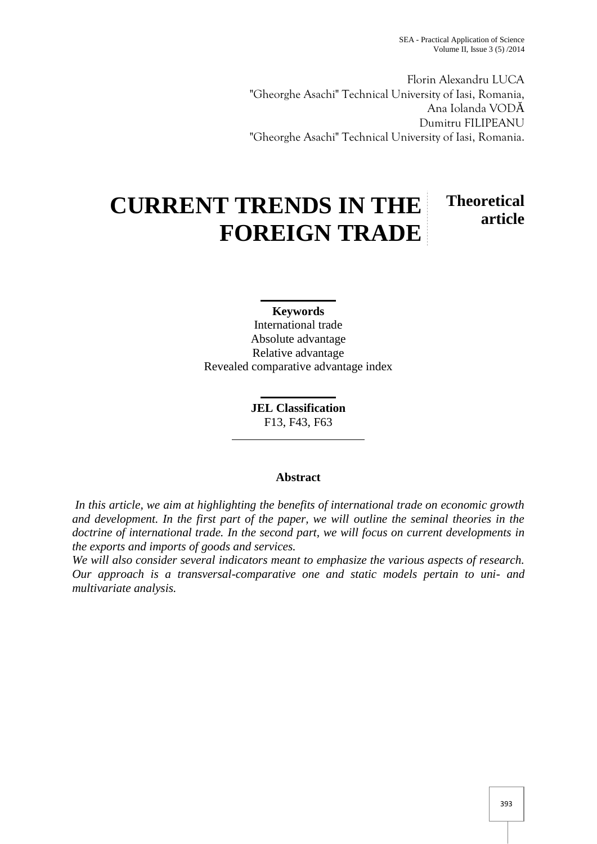SEA - Practical Application of Science Volume II, Issue 3 (5) /2014

Florin Alexandru LUCA "Gheorghe Asachi" Technical University of Iasi, Romania, Ana Iolanda VOD Dumitru FILIPEANU "Gheorghe Asachi" Technical University of Iasi, Romania.

# **CURRENT TRENDS IN THE FOREIGN TRADE Theoretical article**

**Keywords** International trade Absolute advantage Relative advantage Revealed comparative advantage index

> **JEL Classification** F13, F43, F63

# **Abstract**

*In this article, we aim at highlighting the benefits of international trade on economic growth and development. In the first part of the paper, we will outline the seminal theories in the doctrine of international trade. In the second part, we will focus on current developments in the exports and imports of goods and services.*

*We will also consider several indicators meant to emphasize the various aspects of research. Our approach is a transversal-comparative one and static models pertain to uni- and multivariate analysis.*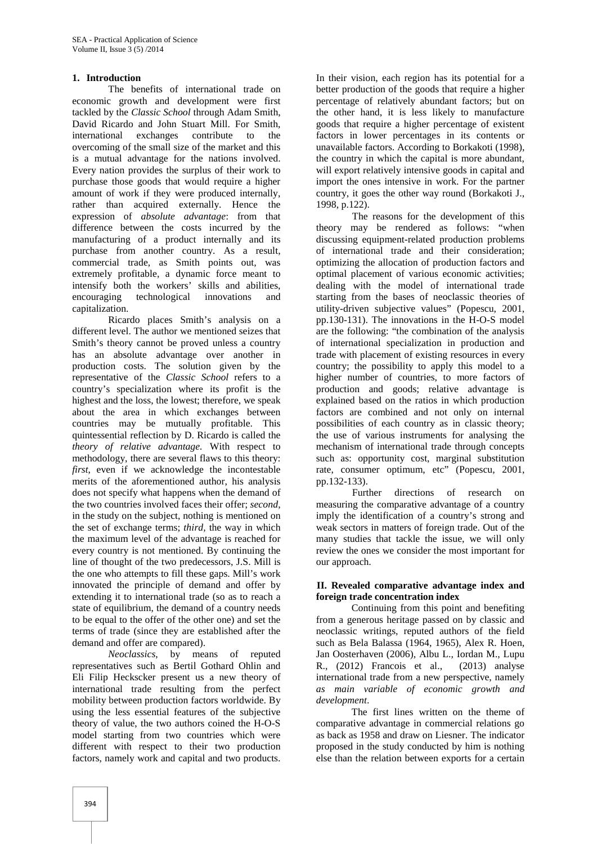#### **1. Introduction**

The benefits of international trade on economic growth and development were first tackled by the *Classic School* through Adam Smith, David Ricardo and John Stuart Mill. For Smith, international exchanges contribute to the overcoming of the small size of the market and this is a mutual advantage for the nations involved. Every nation provides the surplus of their work to purchase those goods that would require a higher amount of work if they were produced internally, rather than acquired externally. Hence the expression of *absolute advantage*: from that difference between the costs incurred by the manufacturing of a product internally and its purchase from another country. As a result, commercial trade, as Smith points out, was extremely profitable, a dynamic force meant to intensify both the workers' skills and abilities, encouraging technological innovations and capitalization.

Ricardo places Smith's analysis on a different level. The author we mentioned seizes that Smith's theory cannot be proved unless a country has an absolute advantage over another in production costs. The solution given by the representative of the *Classic School* refers to a country's specialization where its profit is the highest and the loss, the lowest; therefore, we speak about the area in which exchanges between countries may be mutually profitable. This quintessential reflection by D. Ricardo is called the *theory of relative advantage.* With respect to methodology, there are several flaws to this theory: *first*, even if we acknowledge the incontestable merits of the aforementioned author, his analysis does not specify what happens when the demand of the two countries involved faces their offer; *second*, in the study on the subject, nothing is mentioned on the set of exchange terms; *third,* the way in which the maximum level of the advantage is reached for every country is not mentioned. By continuing the line of thought of the two predecessors, J.S. Mill is the one who attempts to fill these gaps. Mill's work innovated the principle of demand and offer by extending it to international trade (so as to reach a state of equilibrium, the demand of a country needs to be equal to the offer of the other one) and set the terms of trade (since they are established after the demand and offer are compared).

*Neoclassics*, by means of reputed representatives such as Bertil Gothard Ohlin and Eli Filip Heckscker present us a new theory of international trade resulting from the perfect mobility between production factors worldwide. By using the less essential features of the subjective theory of value, the two authors coined the H-O-S model starting from two countries which were different with respect to their two production factors, namely work and capital and two products.

In their vision, each region has its potential for a better production of the goods that require a higher percentage of relatively abundant factors; but on the other hand, it is less likely to manufacture goods that require a higher percentage of existent factors in lower percentages in its contents or unavailable factors. According to Borkakoti (1998), the country in which the capital is more abundant, will export relatively intensive goods in capital and import the ones intensive in work. For the partner country, it goes the other way round (Borkakoti J., 1998, p.122).

The reasons for the development of this theory may be rendered as follows: "when discussing equipment-related production problems of international trade and their consideration; optimizing the allocation of production factors and optimal placement of various economic activities; dealing with the model of international trade starting from the bases of neoclassic theories of utility-driven subjective values" (Popescu, 2001, pp.130-131). The innovations in the H-O-S model are the following: "the combination of the analysis of international specialization in production and trade with placement of existing resources in every country; the possibility to apply this model to a higher number of countries, to more factors of production and goods; relative advantage is explained based on the ratios in which production factors are combined and not only on internal possibilities of each country as in classic theory; the use of various instruments for analysing the mechanism of international trade through concepts such as: opportunity cost, marginal substitution rate, consumer optimum, etc" (Popescu, 2001, pp.132-133).

Further directions of research on measuring the comparative advantage of a country imply the identification of a country's strong and weak sectors in matters of foreign trade. Out of the many studies that tackle the issue, we will only review the ones we consider the most important for our approach.

### **II. Revealed comparative advantage index and foreign trade concentration index**

Continuing from this point and benefiting from a generous heritage passed on by classic and neoclassic writings, reputed authors of the field such as Bela Balassa (1964, 1965), Alex R. Hoen, Jan Oosterhaven (2006), Albu L., Iordan M., Lupu R., (2012) Francois et al., (2013) analyse international trade from a new perspective, namely *as main variable of economic growth and development*.

The first lines written on the theme of comparative advantage in commercial relations go as back as 1958 and draw on Liesner. The indicator proposed in the study conducted by him is nothing else than the relation between exports for a certain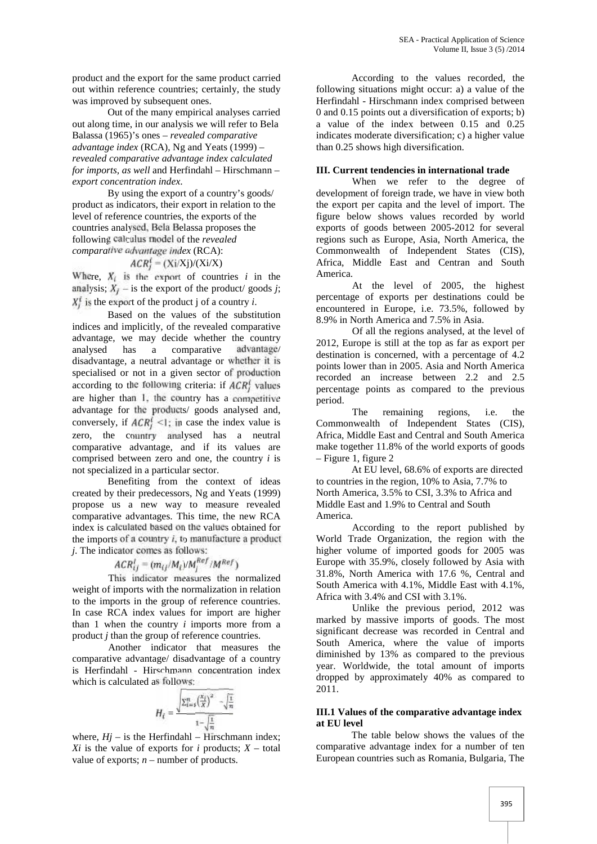product and the export for the same product carried out within reference countries; certainly, the study was improved by subsequent ones.

Out of the many empirical analyses carried out along time, in our analysis we will refer to Bela Balassa (1965)'s ones – *revealed comparative advantage index* (RCA), Ng and Yeats (1999) – *revealed comparative advantage index calculated for imports, as well* and Herfindahl – Hirschmann – *export concentration index*.

By using the export of a country's goods/ product as indicators, their export in relation to the level of reference countries, the exports of the countries analysed, Bela Belassa proposes the following calculus model of the *revealed comparative advantage index* (RCA):

$$
4CR_i^i = (Xi/Xj)/(Xi/X)
$$

Where,  $X_i$  is the export of countries  $i$  in the analysis;  $X_i$  – is the export of the product/ goods *j*;  $X_i^f$  is the export of the product j of a country *i*.

Based on the values of the substitution indices and implicitly, of the revealed comparative advantage, we may decide whether the country analysed has a comparative advantage/ disadvantage, a neutral advantage or whether it is specialised or not in a given sector of production according to the following criteria: if  $ACR_f^f$  values are higher than 1, the country has a competitive advantage for the products/ goods analysed and, conversely, if  $ACR_i^f \leq 1$ ; in case the index value is zero, the country analysed has a neutral comparative advantage, and if its values are comprised between zero and one, the country *i* is not specialized in a particular sector.

Benefiting from the context of ideas created by their predecessors, Ng and Yeats (1999) propose us a new way to measure revealed comparative advantages. This time, the new RCA index is calculated based on the values obtained for the imports of a country *i*, to manufacture a product *j*. The indicator comes as follows:

$$
ACR_{ij}^l = (m_{ij}/M_i)/M_i^{Ref}/M^{Ref})
$$

This indicator measures the normalized weight of imports with the normalization in relation to the imports in the group of reference countries. In case RCA index values for import are higher than 1 when the country *i* imports more from a product *j* than the group of reference countries.

Another indicator that measures the comparative advantage/ disadvantage of a country is Herfindahl - Hirschmann concentration index which is calculated as follows:

$$
H_{\ell} = \frac{\sqrt{\sum_{i=1}^{n} \left(\frac{x_{\ell}}{X}\right)^{2} - \sqrt{\frac{1}{n}}}}{1 - \sqrt{\frac{1}{n}}}
$$

where,  $Hj$  – is the Herfindahl – Hirschmann index; *Xi* is the value of exports for *i* products;  $X - \text{total}$ value of exports;  $n$  – number of products.

According to the values recorded, the following situations might occur: a) a value of the Herfindahl - Hirschmann index comprised between 0 and 0.15 points out a diversification of exports; b) a value of the index between 0.15 and 0.25 indicates moderate diversification; c) a higher value than 0.25 shows high diversification.

# **III. Current tendencies in international trade**

When we refer to the degree of development of foreign trade, we have in view both the export per capita and the level of import. The figure below shows values recorded by world exports of goods between 2005-2012 for several regions such as Europe, Asia, North America, the Commonwealth of Independent States (CIS), Africa, Middle East and Centran and South America.

At the level of 2005, the highest percentage of exports per destinations could be encountered in Europe, i.e. 73.5%, followed by 8.9% in North America and 7.5% in Asia.

Of all the regions analysed, at the level of 2012, Europe is still at the top as far as export per destination is concerned, with a percentage of 4.2 points lower than in 2005. Asia and North America recorded an increase between 2.2 and 2.5 percentage points as compared to the previous period.

The remaining regions, i.e. the Commonwealth of Independent States (CIS), Africa, Middle East and Central and South America make together 11.8% of the world exports of goods – Figure 1, figure 2

At EU level, 68.6% of exports are directed to countries in the region, 10% to Asia, 7.7% to North America, 3.5% to CSI, 3.3% to Africa and Middle East and 1.9% to Central and South America.

According to the report published by World Trade Organization, the region with the higher volume of imported goods for 2005 was Europe with 35.9%, closely followed by Asia with 31.8%, North America with 17.6 %, Central and South America with 4.1%, Middle East with 4.1%, Africa with 3.4% and CSI with 3.1%.

Unlike the previous period, 2012 was marked by massive imports of goods. The most significant decrease was recorded in Central and South America, where the value of imports diminished by 13% as compared to the previous year. Worldwide, the total amount of imports dropped by approximately 40% as compared to 2011.

### **III.1 Values of the comparative advantage index at EU level**

The table below shows the values of the comparative advantage index for a number of ten European countries such as Romania, Bulgaria, The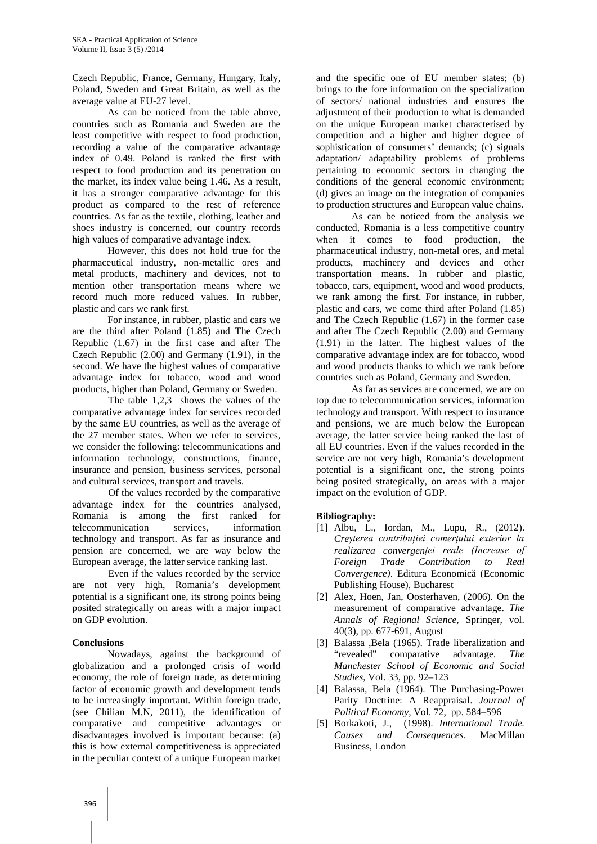Czech Republic, France, Germany, Hungary, Italy, Poland, Sweden and Great Britain, as well as the average value at EU-27 level.

As can be noticed from the table above, countries such as Romania and Sweden are the least competitive with respect to food production, recording a value of the comparative advantage index of 0.49. Poland is ranked the first with respect to food production and its penetration on the market, its index value being 1.46. As a result, it has a stronger comparative advantage for this product as compared to the rest of reference countries. As far as the textile, clothing, leather and shoes industry is concerned, our country records high values of comparative advantage index.

However, this does not hold true for the pharmaceutical industry, non-metallic ores and metal products, machinery and devices, not to mention other transportation means where we record much more reduced values. In rubber, plastic and cars we rank first.

For instance, in rubber, plastic and cars we are the third after Poland (1.85) and The Czech Republic (1.67) in the first case and after The Czech Republic (2.00) and Germany (1.91), in the second. We have the highest values of comparative advantage index for tobacco, wood and wood products, higher than Poland, Germany or Sweden.

The table 1,2,3 shows the values of the comparative advantage index for services recorded by the same EU countries, as well as the average of the 27 member states. When we refer to services, we consider the following: telecommunications and information technology, constructions, finance, insurance and pension, business services, personal and cultural services, transport and travels.

Of the values recorded by the comparative advantage index for the countries analysed, Romania is among the first ranked for telecommunication services, information technology and transport. As far as insurance and pension are concerned, we are way below the European average, the latter service ranking last.

Even if the values recorded by the service are not very high, Romania's development potential is a significant one, its strong points being posited strategically on areas with a major impact on GDP evolution.

#### **Conclusions**

Nowadays, against the background of globalization and a prolonged crisis of world economy, the role of foreign trade, as determining factor of economic growth and development tends to be increasingly important. Within foreign trade, (see Chilian M.N, 2011), the identification of comparative and competitive advantages or disadvantages involved is important because: (a) this is how external competitiveness is appreciated in the peculiar context of a unique European market

and the specific one of EU member states; (b) brings to the fore information on the specialization of sectors/ national industries and ensures the adjustment of their production to what is demanded on the unique European market characterised by competition and a higher and higher degree of sophistication of consumers' demands; (c) signals adaptation/ adaptability problems of problems pertaining to economic sectors in changing the conditions of the general economic environment; (d) gives an image on the integration of companies to production structures and European value chains.

As can be noticed from the analysis we conducted, Romania is a less competitive country when it comes to food production, the pharmaceutical industry, non-metal ores, and metal products, machinery and devices and other transportation means. In rubber and plastic, tobacco, cars, equipment, wood and wood products, we rank among the first. For instance, in rubber, plastic and cars, we come third after Poland (1.85) and The Czech Republic (1.67) in the former case and after The Czech Republic (2.00) and Germany (1.91) in the latter. The highest values of the comparative advantage index are for tobacco, wood and wood products thanks to which we rank before countries such as Poland, Germany and Sweden.

As far as services are concerned, we are on top due to telecommunication services, information technology and transport. With respect to insurance and pensions, we are much below the European average, the latter service being ranked the last of all EU countries. Even if the values recorded in the service are not very high, Romania's development potential is a significant one, the strong points being posited strategically, on areas with a major impact on the evolution of GDP.

# **Bibliography:**

- [1] Albu, L., Iordan, M., Lupu, R., (2012). *Creșterea contribuției comerțului exterior la realizarea convergenței reale (Increase of Foreign Trade Contribution to Real Convergence)*. Editura Economică (Economic Publishing House), Bucharest
- [2] Alex, Hoen, Jan, Oosterhaven, (2006). On the measurement of comparative advantage. *The Annals of Regional Science*, Springer, vol. 40(3), pp. 677-691, August
- [3] Balassa ,Bela (1965). Trade liberalization and "revealed" comparative advantage. *The Manchester School of Economic and Social Studies*, Vol. 33, pp. 92–123
- [4] Balassa, Bela (1964). The Purchasing-Power Parity Doctrine: A Reappraisal. *Journal of Political Economy*, Vol. 72, pp. 584–596
- [5] Borkakoti, J., (1998). *International Trade. Causes and Consequences*. MacMillan Business, London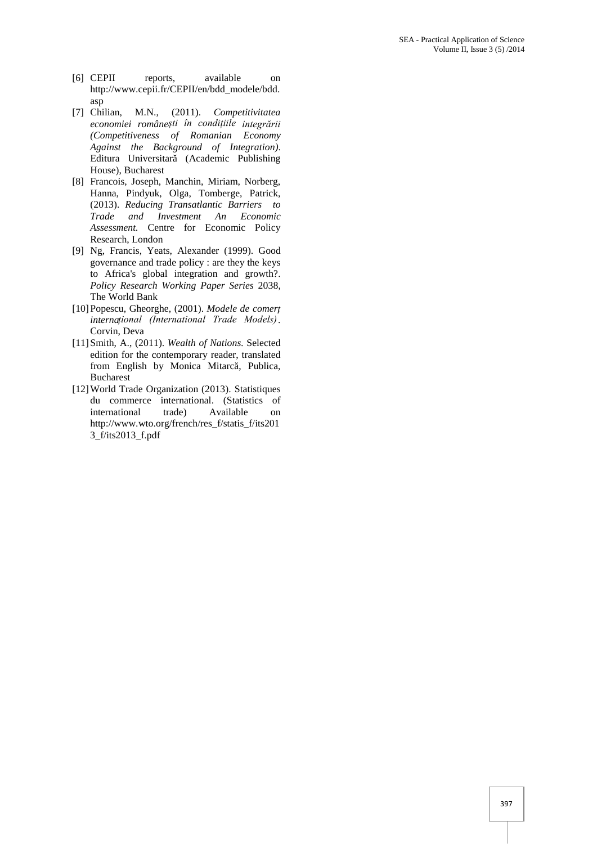- [6] CEPII reports, available on http://www.cepii.fr/CEPII/en/bdd\_modele/bdd. asp
- [7] Chilian, M.N., (2011). *Competitivitatea economiei românești în condițiile integrării (Competitiveness of Romanian Economy Against the Background of Integration)*. Editura Universitar (Academic Publishing House), Bucharest
- [8] Francois, Joseph, Manchin, Miriam, Norberg, Hanna, Pindyuk, Olga, Tomberge, Patrick, (2013). *Reducing Transatlantic Barriers to Trade and Investment An Economic Assessment.* Centre for Economic Policy Research, London
- [9] Ng, Francis, Yeats, Alexander (1999). Good governance and trade policy : are they the keys to Africa's global integration and growth?. *Policy Research Working Paper Series* 2038, The World Bank
- [10]Popescu, Gheorghe, (2001). *Modele de comerț internațional (International Trade Models)*. Corvin, Deva
- [11]Smith, A., (2011). *Wealth of Nations.* Selected edition for the contemporary reader, translated from English by Monica Mitarc, Publica, Bucharest
- [12]World Trade Organization (2013). Statistiques du commerce international. (Statistics of international trade) Available on http://www.wto.org/french/res\_f/statis\_f/its201 3\_f/its2013\_f.pdf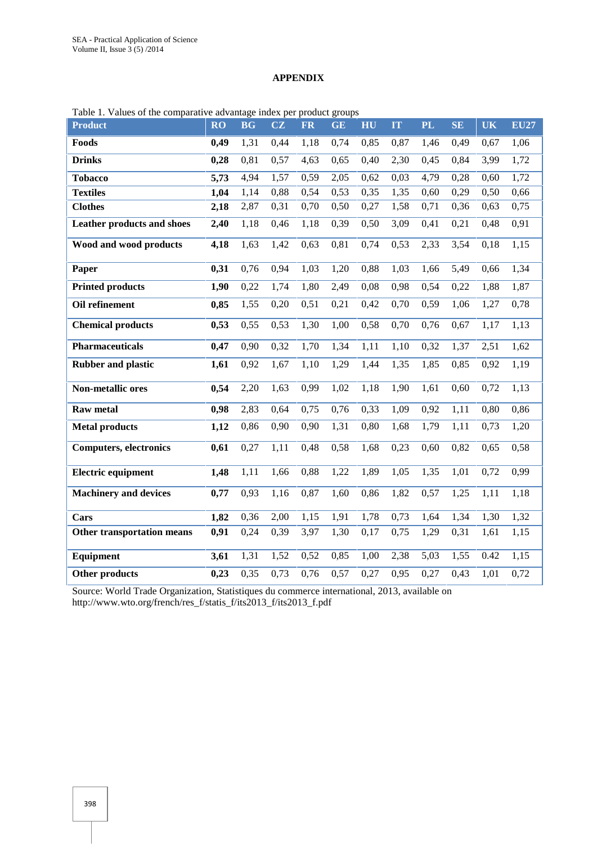# **APPENDIX**

| <b>Product</b>                    | RO   | <b>BG</b> | CZ   | <b>FR</b> | <b>GE</b> | HU   | IT   | <b>PL</b> | <b>SE</b> | <b>UK</b> | <b>EU27</b>       |
|-----------------------------------|------|-----------|------|-----------|-----------|------|------|-----------|-----------|-----------|-------------------|
| Foods                             | 0,49 | 1,31      | 0,44 | 1,18      | 0,74      | 0,85 | 0,87 | 1,46      | 0,49      | 0,67      | 1,06              |
| <b>Drinks</b>                     | 0,28 | 0,81      | 0,57 | 4,63      | 0,65      | 0,40 | 2,30 | 0,45      | 0,84      | 3,99      | 1,72              |
| <b>Tobacco</b>                    | 5,73 | 4,94      | 1,57 | 0,59      | 2,05      | 0,62 | 0,03 | 4,79      | 0,28      | 0,60      | 1,72              |
| <b>Textiles</b>                   | 1,04 | 1,14      | 0,88 | 0,54      | 0,53      | 0,35 | 1,35 | 0,60      | 0,29      | 0,50      | 0,66              |
| <b>Clothes</b>                    | 2,18 | 2,87      | 0,31 | 0,70      | 0,50      | 0,27 | 1,58 | 0,71      | 0,36      | 0,63      | 0,75              |
| <b>Leather products and shoes</b> | 2,40 | 1,18      | 0,46 | 1,18      | 0,39      | 0,50 | 3,09 | 0,41      | 0,21      | 0,48      | 0,91              |
| Wood and wood products            | 4,18 | 1,63      | 1,42 | 0,63      | 0,81      | 0,74 | 0,53 | 2,33      | 3,54      | 0,18      | 1,15              |
| Paper                             | 0,31 | 0,76      | 0,94 | 1,03      | 1,20      | 0,88 | 1,03 | 1,66      | 5,49      | 0,66      | 1,34              |
| <b>Printed products</b>           | 1,90 | 0,22      | 1,74 | 1,80      | 2,49      | 0,08 | 0,98 | 0,54      | 0,22      | 1,88      | 1,87              |
| Oil refinement                    | 0,85 | 1,55      | 0,20 | 0,51      | 0,21      | 0,42 | 0,70 | 0,59      | 1,06      | 1,27      | 0,78              |
| <b>Chemical products</b>          | 0,53 | 0,55      | 0,53 | 1,30      | 1,00      | 0,58 | 0,70 | 0,76      | 0,67      | 1,17      | 1,13              |
| <b>Pharmaceuticals</b>            | 0,47 | 0,90      | 0,32 | 1,70      | 1,34      | 1,11 | 1,10 | 0,32      | 1,37      | 2,51      | 1,62              |
| <b>Rubber and plastic</b>         | 1,61 | 0,92      | 1,67 | 1,10      | 1,29      | 1,44 | 1,35 | 1,85      | 0,85      | 0,92      | $1,\overline{19}$ |
| <b>Non-metallic ores</b>          | 0,54 | 2,20      | 1,63 | 0,99      | 1,02      | 1,18 | 1,90 | 1,61      | 0,60      | 0,72      | 1,13              |
| <b>Raw metal</b>                  | 0,98 | 2,83      | 0,64 | 0,75      | 0,76      | 0,33 | 1,09 | 0,92      | 1,11      | 0,80      | 0,86              |
| <b>Metal products</b>             | 1,12 | 0,86      | 0,90 | 0,90      | 1,31      | 0,80 | 1,68 | 1,79      | 1,11      | 0,73      | 1,20              |
| <b>Computers, electronics</b>     | 0,61 | 0,27      | 1,11 | 0,48      | 0,58      | 1,68 | 0,23 | 0,60      | 0,82      | 0,65      | 0,58              |
| <b>Electric equipment</b>         | 1,48 | 1,11      | 1,66 | 0,88      | 1,22      | 1,89 | 1,05 | 1,35      | 1,01      | 0,72      | 0,99              |
| <b>Machinery and devices</b>      | 0,77 | 0,93      | 1,16 | 0,87      | 1,60      | 0,86 | 1,82 | 0,57      | 1,25      | 1,11      | 1,18              |
| Cars                              | 1,82 | 0,36      | 2,00 | 1,15      | 1,91      | 1,78 | 0,73 | 1,64      | 1,34      | 1,30      | 1,32              |
| <b>Other transportation means</b> | 0,91 | 0,24      | 0,39 | 3,97      | 1,30      | 0,17 | 0,75 | 1,29      | 0,31      | 1,61      | 1,15              |
| Equipment                         | 3,61 | 1,31      | 1,52 | 0,52      | 0,85      | 1,00 | 2,38 | 5,03      | 1,55      | 0.42      | 1,15              |
| Other products                    | 0,23 | 0,35      | 0,73 | 0,76      | 0,57      | 0,27 | 0,95 | 0,27      | 0,43      | 1,01      | 0,72              |

Table 1. Values of the comparative advantage index per product groups

Source: World Trade Organization, Statistiques du commerce international, 2013, available on http://www.wto.org/french/res\_f/statis\_f/its2013\_f/its2013\_f.pdf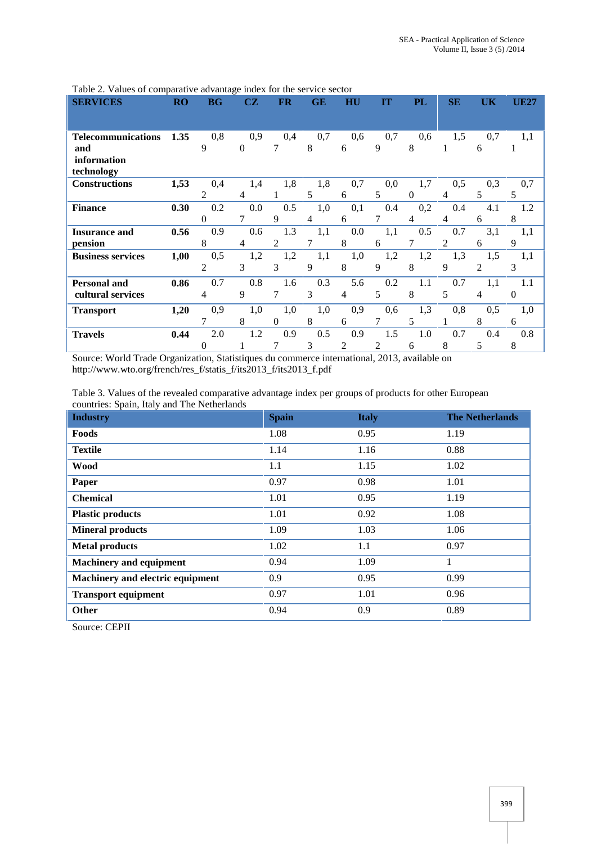| <b>SERVICES</b>           | RO   | <b>BG</b>      | CZ       | <b>FR</b> | GE  | $\mathbf{H}\mathbf{U}$ | m   | PL       | <b>SE</b> | UK             | <b>UE27</b> |
|---------------------------|------|----------------|----------|-----------|-----|------------------------|-----|----------|-----------|----------------|-------------|
|                           |      |                |          |           |     |                        |     |          |           |                |             |
|                           |      |                |          |           |     |                        |     |          |           |                |             |
| <b>Telecommunications</b> | 1.35 | 0,8            | 0,9      | 0,4       | 0,7 | 0,6                    | 0,7 | 0,6      | 1,5       | 0,7            | 1,1         |
| and                       |      | 9              | $\Omega$ | 7         | 8   | 6                      | 9   | 8        |           | 6              |             |
| information               |      |                |          |           |     |                        |     |          |           |                |             |
| technology                |      |                |          |           |     |                        |     |          |           |                |             |
| <b>Constructions</b>      | 1,53 | 0,4            | 1,4      | 1,8       | 1,8 | 0,7                    | 0,0 | 1,7      | 0,5       | 0,3            | 0,7         |
|                           |      | 2              | 4        |           | 5   | 6                      | 5   | $\theta$ |           | 5              | 5           |
| <b>Finance</b>            | 0.30 | 0.2            | 0.0      | 0.5       | 1,0 | 0,1                    | 0.4 | 0,2      | 0.4       | 4.1            | 1.2         |
|                           |      | $\mathbf{0}$   | 7        | 9         | 4   | 6                      |     | 4        | 4         | 6              | 8           |
| <b>Insurance and</b>      | 0.56 | 0.9            | 0.6      | 1.3       | 1,1 | 0.0                    | 1,1 | 0.5      | 0.7       | 3,1            | 1,1         |
| pension                   |      | 8              | 4        | 2         |     | 8                      | 6   |          | 2         | 6              | 9           |
| <b>Business services</b>  | 1,00 | 0,5            | 1,2      | 1,2       | 1,1 | 1,0                    | 1,2 | 1,2      | 1,3       | 1,5            | 1,1         |
|                           |      | $\overline{2}$ | 3        | 3         | 9   | 8                      | 9   | 8        | 9         | $\overline{c}$ | 3           |
| <b>Personal and</b>       | 0.86 | 0.7            | 0.8      | 1.6       | 0.3 | 5.6                    | 0.2 | 1.1      | 0.7       | 1,1            | 1.1         |
| cultural services         |      | 4              | 9        |           | 3   | 4                      | 5   | 8        | 5         | 4              | $\theta$    |
| <b>Transport</b>          | 1,20 | 0,9            | 1,0      | 1,0       | 1,0 | 0,9                    | 0,6 | 1,3      | 0,8       | 0,5            | 1,0         |
|                           |      | 7              | 8        | $\Omega$  | 8   | 6                      | 7   | 5        |           | 8              | 6           |
| <b>Travels</b>            | 0.44 | 2.0            | 1.2      | 0.9       | 0.5 | 0.9                    | 1.5 | 1.0      | 0.7       | 0.4            | 0.8         |
|                           |      | 0              |          |           | 3   | 2                      | 2   | 6        | 8         | 5              | 8           |

Table 2. Values of comparative advantage index for the service sector

Source: World Trade Organization, Statistiques du commerce international, 2013, available on http://www.wto.org/french/res\_f/statis\_f/its2013\_f/its2013\_f.pdf

Table 3. Values of the revealed comparative advantage index per groups of products for other European countries: Spain, Italy and The Netherlands

| <b>Spain</b> | <b>Italy</b> | <b>The Netherlands</b> |
|--------------|--------------|------------------------|
| 1.08         | 0.95         | 1.19                   |
| 1.14         | 1.16         | 0.88                   |
| 1.1          | 1.15         | 1.02                   |
| 0.97         | 0.98         | 1.01                   |
| 1.01         | 0.95         | 1.19                   |
| 1.01         | 0.92         | 1.08                   |
| 1.09         | 1.03         | 1.06                   |
| 1.02         | 1.1          | 0.97                   |
| 0.94         | 1.09         | 1                      |
| 0.9          | 0.95         | 0.99                   |
| 0.97         | 1.01         | 0.96                   |
| 0.94         | 0.9          | 0.89                   |
|              |              |                        |

Source: CEPII